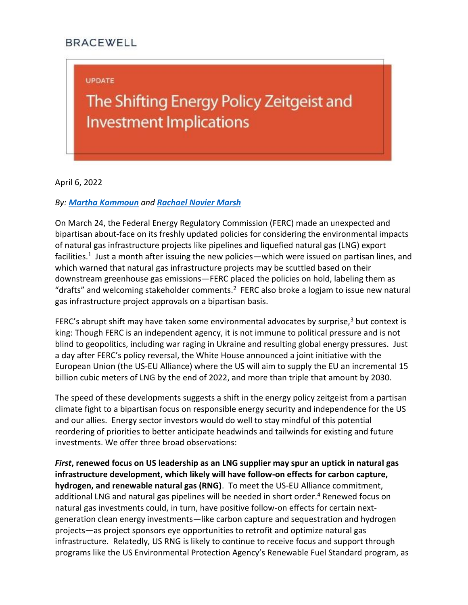## **BRACEWELL**

## **UPDATE**

## The Shifting Energy Policy Zeitgeist and **Investment Implications**

April 6, 2022

## *By: [Martha Kammoun](https://bracewell.com/people/martha-kammoun) and [Rachael Novier Marsh](https://bracewell.com/people/rachael-novier-marsh)*

On March 24, the Federal Energy Regulatory Commission (FERC) made an unexpected and bipartisan about-face on its freshly updated policies for considering the environmental impacts of natural gas infrastructure projects like pipelines and liquefied natural gas (LNG) export facilities.<sup>1</sup> Just a month after issuing the new policies—which were issued on partisan lines, and which warned that natural gas infrastructure projects may be scuttled based on their downstream greenhouse gas emissions—FERC placed the policies on hold, labeling them as "drafts" and welcoming stakeholder comments. $2$  FERC also broke a logjam to issue new natural gas infrastructure project approvals on a bipartisan basis.

FERC's abrupt shift may have taken some environmental advocates by surprise, $3$  but context is king: Though FERC is an independent agency, it is not immune to political pressure and is not blind to geopolitics, including war raging in Ukraine and resulting global energy pressures. Just a day after FERC's policy reversal, the White House announced a joint initiative with the European Union (the US-EU Alliance) where the US will aim to supply the EU an incremental 15 billion cubic meters of LNG by the end of 2022, and more than triple that amount by 2030.

The speed of these developments suggests a shift in the energy policy zeitgeist from a partisan climate fight to a bipartisan focus on responsible energy security and independence for the US and our allies. Energy sector investors would do well to stay mindful of this potential reordering of priorities to better anticipate headwinds and tailwinds for existing and future investments. We offer three broad observations:

*First***, renewed focus on US leadership as an LNG supplier may spur an uptick in natural gas infrastructure development, which likely will have follow-on effects for carbon capture, hydrogen, and renewable natural gas (RNG)**. To meet the US-EU Alliance commitment, additional LNG and natural gas pipelines will be needed in short order.<sup>4</sup> Renewed focus on natural gas investments could, in turn, have positive follow-on effects for certain nextgeneration clean energy investments—like carbon capture and sequestration and hydrogen projects—as project sponsors eye opportunities to retrofit and optimize natural gas infrastructure. Relatedly, US RNG is likely to continue to receive focus and support through programs like the US Environmental Protection Agency's Renewable Fuel Standard program, as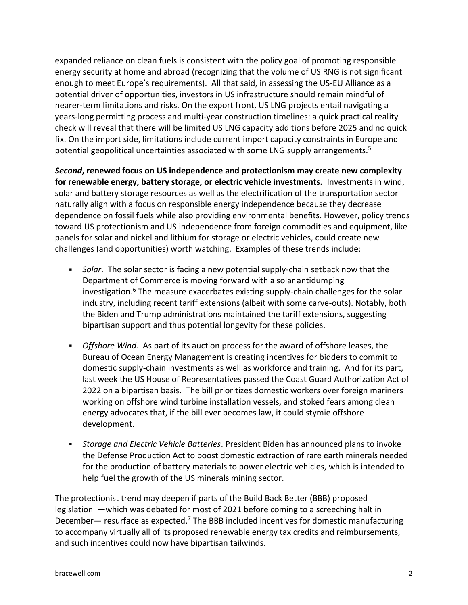expanded reliance on clean fuels is consistent with the policy goal of promoting responsible energy security at home and abroad (recognizing that the volume of US RNG is not significant enough to meet Europe's requirements). All that said, in assessing the US-EU Alliance as a potential driver of opportunities, investors in US infrastructure should remain mindful of nearer-term limitations and risks. On the export front, US LNG projects entail navigating a years-long permitting process and multi-year construction timelines: a quick practical reality check will reveal that there will be limited US LNG capacity additions before 2025 and no quick fix. On the import side, limitations include current import capacity constraints in Europe and potential geopolitical uncertainties associated with some LNG supply arrangements.<sup>5</sup>

*Second***, renewed focus on US independence and protectionism may create new complexity for renewable energy, battery storage, or electric vehicle investments.** Investments in wind, solar and battery storage resources as well as the electrification of the transportation sector naturally align with a focus on responsible energy independence because they decrease dependence on fossil fuels while also providing environmental benefits. However, policy trends toward US protectionism and US independence from foreign commodities and equipment, like panels for solar and nickel and lithium for storage or electric vehicles, could create new challenges (and opportunities) worth watching. Examples of these trends include:

- *Solar*. The solar sector is facing a new potential supply-chain setback now that the Department of Commerce is moving forward with a solar antidumping investigation.<sup>6</sup> The measure exacerbates existing supply-chain challenges for the solar industry, including recent tariff extensions (albeit with some carve-outs). Notably, both the Biden and Trump administrations maintained the tariff extensions, suggesting bipartisan support and thus potential longevity for these policies.
- *Offshore Wind.* As part of its auction process for the award of offshore leases, the Bureau of Ocean Energy Management is creating incentives for bidders to commit to domestic supply-chain investments as well as workforce and training. And for its part, last week the US House of Representatives passed the Coast Guard Authorization Act of 2022 on a bipartisan basis. The bill prioritizes domestic workers over foreign mariners working on offshore wind turbine installation vessels, and stoked fears among clean energy advocates that, if the bill ever becomes law, it could stymie offshore development.
- *Storage and Electric Vehicle Batteries*. President Biden has announced plans to invoke the Defense Production Act to boost domestic extraction of rare earth minerals needed for the production of battery materials to power electric vehicles, which is intended to help fuel the growth of the US minerals mining sector.

The protectionist trend may deepen if parts of the Build Back Better (BBB) proposed legislation —which was debated for most of 2021 before coming to a screeching halt in December— resurface as expected.<sup>7</sup> The BBB included incentives for domestic manufacturing to accompany virtually all of its proposed renewable energy tax credits and reimbursements, and such incentives could now have bipartisan tailwinds.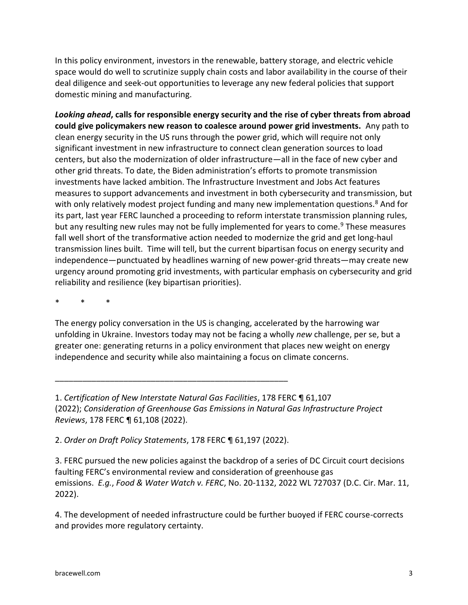In this policy environment, investors in the renewable, battery storage, and electric vehicle space would do well to scrutinize supply chain costs and labor availability in the course of their deal diligence and seek-out opportunities to leverage any new federal policies that support domestic mining and manufacturing.

*Looking ahead***, calls for responsible energy security and the rise of cyber threats from abroad could give policymakers new reason to coalesce around power grid investments.** Any path to clean energy security in the US runs through the power grid, which will require not only significant investment in new infrastructure to connect clean generation sources to load centers, but also the modernization of older infrastructure—all in the face of new cyber and other grid threats. To date, the Biden administration's efforts to promote transmission investments have lacked ambition. The Infrastructure Investment and Jobs Act features measures to support advancements and investment in both cybersecurity and transmission, but with only relatively modest project funding and many new implementation questions.<sup>8</sup> And for its part, last year FERC launched a proceeding to reform interstate transmission planning rules, but any resulting new rules may not be fully implemented for years to come.<sup>9</sup> These measures fall well short of the transformative action needed to modernize the grid and get long-haul transmission lines built. Time will tell, but the current bipartisan focus on energy security and independence—punctuated by headlines warning of new power-grid threats—may create new urgency around promoting grid investments, with particular emphasis on cybersecurity and grid reliability and resilience (key bipartisan priorities).

\* \* \*

The energy policy conversation in the US is changing, accelerated by the harrowing war unfolding in Ukraine. Investors today may not be facing a wholly *new* challenge, per se, but a greater one: generating returns in a policy environment that places new weight on energy independence and security while also maintaining a focus on climate concerns.

1. *Certification of New Interstate Natural Gas Facilities*, 178 FERC ¶ 61,107 (2022); *Consideration of Greenhouse Gas Emissions in Natural Gas Infrastructure Project Reviews*, 178 FERC ¶ 61,108 (2022).

2. *Order on Draft Policy Statements*, 178 FERC ¶ 61,197 (2022).

\_\_\_\_\_\_\_\_\_\_\_\_\_\_\_\_\_\_\_\_\_\_\_\_\_\_\_\_\_\_\_\_\_\_\_\_\_\_\_\_\_\_\_\_\_\_\_\_\_\_\_

3. FERC pursued the new policies against the backdrop of a series of DC Circuit court decisions faulting FERC's environmental review and consideration of greenhouse gas emissions. *E.g.*, *Food & Water Watch v. FERC*, No. 20-1132, 2022 WL 727037 (D.C. Cir. Mar. 11, 2022).

4. The development of needed infrastructure could be further buoyed if FERC course-corrects and provides more regulatory certainty.